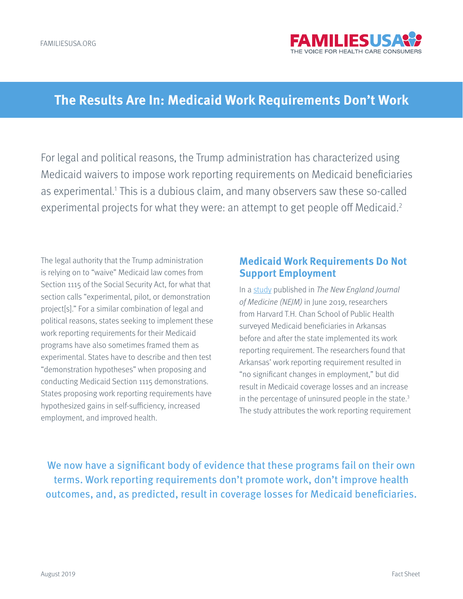

# **The Results Are In: Medicaid Work Requirements Don't Work**

For legal and political reasons, the Trump administration has characterized using Medicaid waivers to impose work reporting requirements on Medicaid beneficiaries as experimental.<sup>1</sup> This is a dubious claim, and many observers saw these so-called experimental projects for what they were: an attempt to get people off Medicaid.<sup>2</sup>

The legal authority that the Trump administration is relying on to "waive" Medicaid law comes from Section 1115 of the Social Security Act, for what that section calls "experimental, pilot, or demonstration project[s]." For a similar combination of legal and political reasons, states seeking to implement these work reporting requirements for their Medicaid programs have also sometimes framed them as experimental. States have to describe and then test "demonstration hypotheses" when proposing and conducting Medicaid Section 1115 demonstrations. States proposing work reporting requirements have hypothesized gains in self-sufficiency, increased employment, and improved health.

#### **Medicaid Work Requirements Do Not Support Employment**

In a [study](https://www.nejm.org/doi/full/10.1056/NEJMsr1901772) published in The New England Journal of Medicine (NEJM) in June 2019, researchers from Harvard T.H. Chan School of Public Health surveyed Medicaid beneficiaries in Arkansas before and after the state implemented its work reporting requirement. The researchers found that Arkansas' work reporting requirement resulted in "no significant changes in employment," but did result in Medicaid coverage losses and an increase in the percentage of uninsured people in the state.<sup>3</sup> The study attributes the work reporting requirement

We now have a significant body of evidence that these programs fail on their own terms. Work reporting requirements don't promote work, don't improve health outcomes, and, as predicted, result in coverage losses for Medicaid beneficiaries.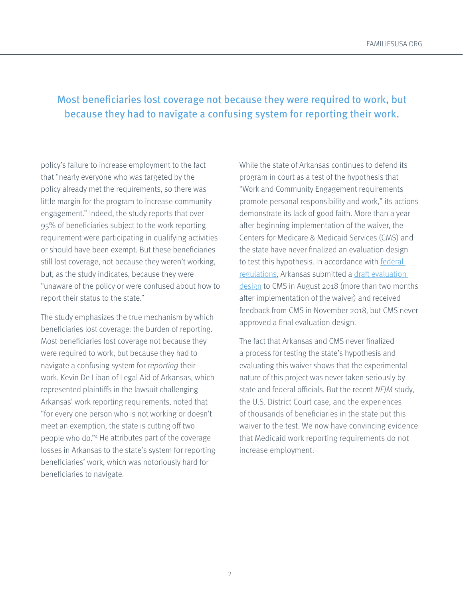# Most beneficiaries lost coverage not because they were required to work, but because they had to navigate a confusing system for reporting their work.

policy's failure to increase employment to the fact that "nearly everyone who was targeted by the policy already met the requirements, so there was little margin for the program to increase community engagement." Indeed, the study reports that over 95% of beneficiaries subject to the work reporting requirement were participating in qualifying activities or should have been exempt. But these beneficiaries still lost coverage, not because they weren't working, but, as the study indicates, because they were "unaware of the policy or were confused about how to report their status to the state."

The study emphasizes the true mechanism by which beneficiaries lost coverage: the burden of reporting. Most beneficiaries lost coverage not because they were required to work, but because they had to navigate a confusing system for reporting their work. Kevin De Liban of Legal Aid of Arkansas, which represented plaintiffs in the lawsuit challenging Arkansas' work reporting requirements, noted that "for every one person who is not working or doesn't meet an exemption, the state is cutting off two people who do."4 He attributes part of the coverage losses in Arkansas to the state's system for reporting beneficiaries' work, which was notoriously hard for beneficiaries to navigate.

While the state of Arkansas continues to defend its program in court as a test of the hypothesis that "Work and Community Engagement requirements promote personal responsibility and work," its actions demonstrate its lack of good faith. More than a year after beginning implementation of the waiver, the Centers for Medicare & Medicaid Services (CMS) and the state have never finalized an evaluation design to test this hypothesis. In accordance with **federal** [regulations,](https://www.govinfo.gov/content/pkg/CFR-2013-title42-vol4/pdf/CFR-2013-title42-vol4-sec431-424.pdf) Arkansas submitted a [draft evaluation](https://www.medicaid.gov/Medicaid-CHIP-Program-Information/By-Topics/Waivers/1115/downloads/ar/Health-Care-Independence-Program-Private-Option/ar-works-cmmnty-engagement-draft-eval-dsgn-20180813.pdf)  [design](https://www.medicaid.gov/Medicaid-CHIP-Program-Information/By-Topics/Waivers/1115/downloads/ar/Health-Care-Independence-Program-Private-Option/ar-works-cmmnty-engagement-draft-eval-dsgn-20180813.pdf) to CMS in August 2018 (more than two months after implementation of the waiver) and received feedback from CMS in November 2018, but CMS never approved a final evaluation design.

The fact that Arkansas and CMS never finalized a process for testing the state's hypothesis and evaluating this waiver shows that the experimental nature of this project was never taken seriously by state and federal officials. But the recent NEJM study, the U.S. District Court case, and the experiences of thousands of beneficiaries in the state put this waiver to the test. We now have convincing evidence that Medicaid work reporting requirements do not increase employment.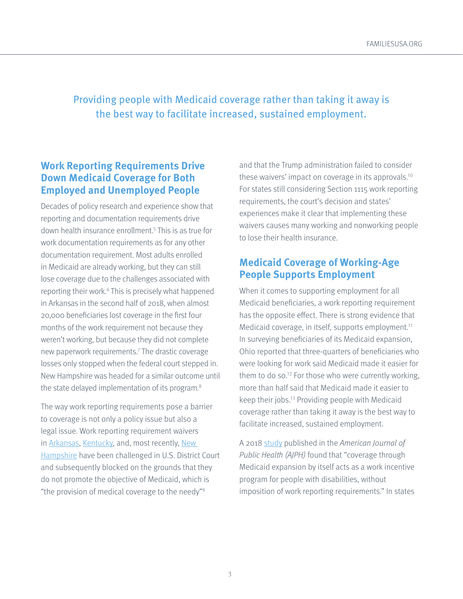# Providing people with Medicaid coverage rather than taking it away is the best way to facilitate increased, sustained employment.

#### **Work Reporting Requirements Drive Down Medicaid Coverage for Both Employed and Unemployed People**

Decades of policy research and experience show that reporting and documentation requirements drive down health insurance enrollment.5 This is as true for work documentation requirements as for any other documentation requirement. Most adults enrolled in Medicaid are already working, but they can still lose coverage due to the challenges associated with reporting their work.<sup>6</sup> This is precisely what happened in Arkansas in the second half of 2018, when almost 20,000 beneficiaries lost coverage in the first four months of the work requirement not because they weren't working, but because they did not complete new paperwork requirements.7 The drastic coverage losses only stopped when the federal court stepped in. New Hampshire was headed for a similar outcome until the state delayed implementation of its program.<sup>8</sup>

The way work reporting requirements pose a barrier to coverage is not only a policy issue but also a legal issue. Work reporting requirement waivers in [Arkansas,](https://ecf.dcd.uscourts.gov/cgi-bin/show_public_doc?2018cv1900-58) [Kentucky](https://ecf.dcd.uscourts.gov/cgi-bin/show_public_doc?2018cv0152-132), and, most recently, [New](https://ecf.dcd.uscourts.gov/cgi-bin/show_public_doc?2019cv0773-47)  [Hampshire](https://ecf.dcd.uscourts.gov/cgi-bin/show_public_doc?2019cv0773-47) have been challenged in U.S. District Court and subsequently blocked on the grounds that they do not promote the objective of Medicaid, which is "the provision of medical coverage to the needy"9

and that the Trump administration failed to consider these waivers' impact on coverage in its approvals.10 For states still considering Section 1115 work reporting requirements, the court's decision and states' experiences make it clear that implementing these waivers causes many working and nonworking people to lose their health insurance.

#### **Medicaid Coverage of Working-Age People Supports Employment**

When it comes to supporting employment for all Medicaid beneficiaries, a work reporting requirement has the opposite effect. There is strong evidence that Medicaid coverage, in itself, supports employment.<sup>11</sup> In surveying beneficiaries of its Medicaid expansion, Ohio reported that three-quarters of beneficiaries who were looking for work said Medicaid made it easier for them to do so.12 For those who were currently working, more than half said that Medicaid made it easier to keep their jobs.13 Providing people with Medicaid coverage rather than taking it away is the best way to facilitate increased, sustained employment.

A 2018 [study](https://ajph.aphapublications.org/doi/abs/10.2105/AJPH.2018.304536?rfr_dat=cr_pub%3Dpubmed&url_ver=Z39.88-2003&rfr_id=ori%3Arid%3Acrossref.org&journalCode=ajph&) published in the American Journal of Public Health (AJPH) found that "coverage through Medicaid expansion by itself acts as a work incentive program for people with disabilities, without imposition of work reporting requirements." In states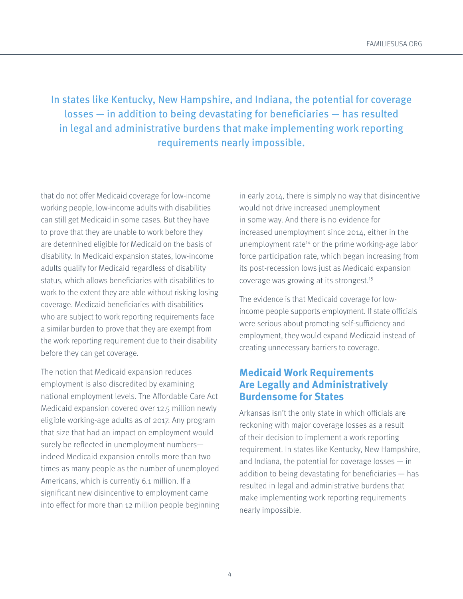In states like Kentucky, New Hampshire, and Indiana, the potential for coverage losses — in addition to being devastating for beneficiaries — has resulted in legal and administrative burdens that make implementing work reporting requirements nearly impossible.

that do not offer Medicaid coverage for low-income working people, low-income adults with disabilities can still get Medicaid in some cases. But they have to prove that they are unable to work before they are determined eligible for Medicaid on the basis of disability. In Medicaid expansion states, low-income adults qualify for Medicaid regardless of disability status, which allows beneficiaries with disabilities to work to the extent they are able without risking losing coverage. Medicaid beneficiaries with disabilities who are subject to work reporting requirements face a similar burden to prove that they are exempt from the work reporting requirement due to their disability before they can get coverage.

The notion that Medicaid expansion reduces employment is also discredited by examining national employment levels. The Affordable Care Act Medicaid expansion covered over 12.5 million newly eligible working-age adults as of 2017. Any program that size that had an impact on employment would surely be reflected in unemployment numbers indeed Medicaid expansion enrolls more than two times as many people as the number of unemployed Americans, which is currently 6.1 million. If a significant new disincentive to employment came into effect for more than 12 million people beginning in early 2014, there is simply no way that disincentive would not drive increased unemployment in some way. And there is no evidence for increased unemployment since 2014, either in the unemployment rate<sup>14</sup> or the prime working-age labor force participation rate, which began increasing from its post-recession lows just as Medicaid expansion coverage was growing at its strongest.15

The evidence is that Medicaid coverage for lowincome people supports employment. If state officials were serious about promoting self-sufficiency and employment, they would expand Medicaid instead of creating unnecessary barriers to coverage.

#### **Medicaid Work Requirements Are Legally and Administratively Burdensome for States**

Arkansas isn't the only state in which officials are reckoning with major coverage losses as a result of their decision to implement a work reporting requirement. In states like Kentucky, New Hampshire, and Indiana, the potential for coverage losses — in addition to being devastating for beneficiaries — has resulted in legal and administrative burdens that make implementing work reporting requirements nearly impossible.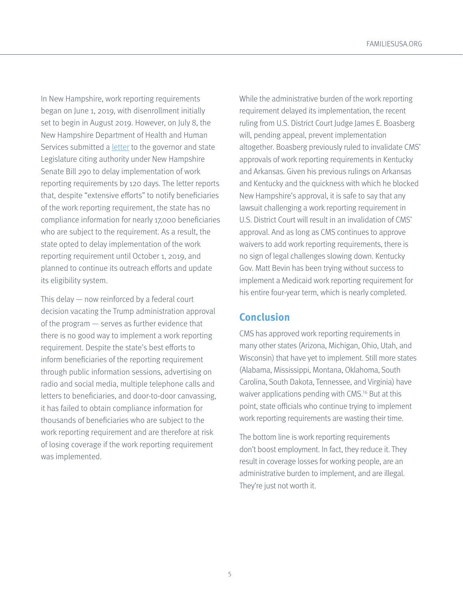[FAMILIESUSA.ORG](http://FAMILIESUSA.ORG)

In New Hampshire, work reporting requirements began on June 1, 2019, with disenrollment initially set to begin in August 2019. However, on July 8, the New Hampshire Department of Health and Human Services submitted a [letter](https://www.dhhs.nh.gov/medicaid/granite/documents/ga-ce-findings.pdf) to the governor and state Legislature citing authority under New Hampshire Senate Bill 290 to delay implementation of work reporting requirements by 120 days. The letter reports that, despite "extensive efforts" to notify beneficiaries of the work reporting requirement, the state has no compliance information for nearly 17,000 beneficiaries who are subject to the requirement. As a result, the state opted to delay implementation of the work reporting requirement until October 1, 2019, and planned to continue its outreach efforts and update its eligibility system.

This delay — now reinforced by a federal court decision vacating the Trump administration approval of the program — serves as further evidence that there is no good way to implement a work reporting requirement. Despite the state's best efforts to inform beneficiaries of the reporting requirement through public information sessions, advertising on radio and social media, multiple telephone calls and letters to beneficiaries, and door-to-door canvassing, it has failed to obtain compliance information for thousands of beneficiaries who are subject to the work reporting requirement and are therefore at risk of losing coverage if the work reporting requirement was implemented.

While the administrative burden of the work reporting requirement delayed its implementation, the recent ruling from U.S. District Court Judge James E. Boasberg will, pending appeal, prevent implementation altogether. Boasberg previously ruled to invalidate CMS' approvals of work reporting requirements in Kentucky and Arkansas. Given his previous rulings on Arkansas and Kentucky and the quickness with which he blocked New Hampshire's approval, it is safe to say that any lawsuit challenging a work reporting requirement in U.S. District Court will result in an invalidation of CMS' approval. And as long as CMS continues to approve waivers to add work reporting requirements, there is no sign of legal challenges slowing down. Kentucky Gov. Matt Bevin has been trying without success to implement a Medicaid work reporting requirement for his entire four-year term, which is nearly completed.

### **Conclusion**

CMS has approved work reporting requirements in many other states (Arizona, Michigan, Ohio, Utah, and Wisconsin) that have yet to implement. Still more states (Alabama, Mississippi, Montana, Oklahoma, South Carolina, South Dakota, Tennessee, and Virginia) have waiver applications pending with CMS.<sup>16</sup> But at this point, state officials who continue trying to implement work reporting requirements are wasting their time.

The bottom line is work reporting requirements don't boost employment. In fact, they reduce it. They result in coverage losses for working people, are an administrative burden to implement, and are illegal. They're just not worth it.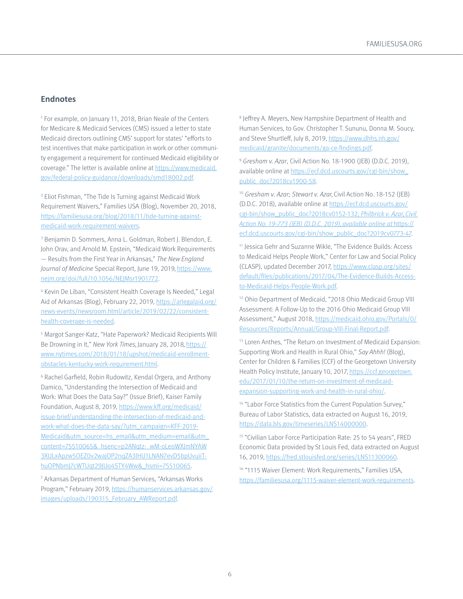#### **Endnotes**

1 For example, on January 11, 2018, Brian Neale of the Centers for Medicare & Medicaid Services (CMS) issued a letter to state Medicaid directors outlining CMS' support for states' "efforts to test incentives that make participation in work or other community engagement a requirement for continued Medicaid eligibility or coverage." The letter is available online at [https://www.medicaid.](https://www.medicaid.gov/federal-policy-guidance/downloads/smd18002.pdf) [gov/federal-policy-guidance/downloads/smd18002.pdf](https://www.medicaid.gov/federal-policy-guidance/downloads/smd18002.pdf).

2 Eliot Fishman, "The Tide Is Turning against Medicaid Work Requirement Waivers," Families USA (Blog), November 20, 2018, [https://familiesusa.org/blog/2018/11/tide-turning-against](https://familiesusa.org/blog/2018/11/tide-turning-against-medicaid-work-requirement-waivers)[medicaid-work-requirement-waivers.](https://familiesusa.org/blog/2018/11/tide-turning-against-medicaid-work-requirement-waivers)

3 Benjamin D. Sommers, Anna L. Goldman, Robert J. Blendon, E. John Orav, and Arnold M. Epstein, "Medicaid Work Requirements — Results from the First Year in Arkansas," The New England Journal of Medicine Special Report, June 19, 2019, [https://www.](https://www.nejm.org/doi/full/10.1056/NEJMsr1901772) [nejm.org/doi/full/10.1056/NEJMsr1901772](https://www.nejm.org/doi/full/10.1056/NEJMsr1901772).

4 Kevin De Liban, "Consistent Health Coverage Is Needed," Legal Aid of Arkansas (Blog), February 22, 2019, [https://arlegalaid.org/](https://arlegalaid.org/news-events/newsroom.html/article/2019/02/22/consistent-health-coverage-is-needed) [news-events/newsroom.html/article/2019/02/22/consistent](https://arlegalaid.org/news-events/newsroom.html/article/2019/02/22/consistent-health-coverage-is-needed)[health-coverage-is-needed.](https://arlegalaid.org/news-events/newsroom.html/article/2019/02/22/consistent-health-coverage-is-needed)

5 Margot Sanger-Katz, "Hate Paperwork? Medicaid Recipients Will Be Drowning in It," New York Times, January 28, 2018, [https://](https://www.nytimes.com/2018/01/18/upshot/medicaid-enrollment-obstacles-kentucky-work-requirement.html) [www.nytimes.com/2018/01/18/upshot/medicaid-enrollment](https://www.nytimes.com/2018/01/18/upshot/medicaid-enrollment-obstacles-kentucky-work-requirement.html)[obstacles-kentucky-work-requirement.html](https://www.nytimes.com/2018/01/18/upshot/medicaid-enrollment-obstacles-kentucky-work-requirement.html).

6 Rachel Garfield, Robin Rudowitz, Kendal Orgera, and Anthony Damico, "Understanding the Intersection of Medicaid and Work: What Does the Data Say?" (Issue Brief), Kaiser Family Foundation, August 8, 2019, [https://www.kff.org/medicaid/](https://www.kff.org/medicaid/issue-brief/understanding-the-intersection-of-medicaid-and-work-what-does-the-data-say/?utm_campaign=KFF-2019-Medicaid&utm_source=hs_email&utm_medium=email&utm_content=75510065&_hsenc=p2ANqtz-_wM-oLeoWXJmNYAW3XULxApzw5OEZ0v2wajOP2nqZA3lHU1LNAN7evD5bpUvuiiT-huOPNbmJ7cWTUqt29JUo4STY4Ww&_hsmi=75510065) [issue-brief/understanding-the-intersection-of-medicaid-and](https://www.kff.org/medicaid/issue-brief/understanding-the-intersection-of-medicaid-and-work-what-does-the-data-say/?utm_campaign=KFF-2019-Medicaid&utm_source=hs_email&utm_medium=email&utm_content=75510065&_hsenc=p2ANqtz-_wM-oLeoWXJmNYAW3XULxApzw5OEZ0v2wajOP2nqZA3lHU1LNAN7evD5bpUvuiiT-huOPNbmJ7cWTUqt29JUo4STY4Ww&_hsmi=75510065)[work-what-does-the-data-say/?utm\\_campaign=KFF-2019-](https://www.kff.org/medicaid/issue-brief/understanding-the-intersection-of-medicaid-and-work-what-does-the-data-say/?utm_campaign=KFF-2019-Medicaid&utm_source=hs_email&utm_medium=email&utm_content=75510065&_hsenc=p2ANqtz-_wM-oLeoWXJmNYAW3XULxApzw5OEZ0v2wajOP2nqZA3lHU1LNAN7evD5bpUvuiiT-huOPNbmJ7cWTUqt29JUo4STY4Ww&_hsmi=75510065) [Medicaid&utm\\_source=hs\\_email&utm\\_medium=email&utm\\_](https://www.kff.org/medicaid/issue-brief/understanding-the-intersection-of-medicaid-and-work-what-does-the-data-say/?utm_campaign=KFF-2019-Medicaid&utm_source=hs_email&utm_medium=email&utm_content=75510065&_hsenc=p2ANqtz-_wM-oLeoWXJmNYAW3XULxApzw5OEZ0v2wajOP2nqZA3lHU1LNAN7evD5bpUvuiiT-huOPNbmJ7cWTUqt29JUo4STY4Ww&_hsmi=75510065) [content=75510065&\\_hsenc=p2ANqtz-\\_wM-oLeoWXJmNYAW](https://www.kff.org/medicaid/issue-brief/understanding-the-intersection-of-medicaid-and-work-what-does-the-data-say/?utm_campaign=KFF-2019-Medicaid&utm_source=hs_email&utm_medium=email&utm_content=75510065&_hsenc=p2ANqtz-_wM-oLeoWXJmNYAW3XULxApzw5OEZ0v2wajOP2nqZA3lHU1LNAN7evD5bpUvuiiT-huOPNbmJ7cWTUqt29JUo4STY4Ww&_hsmi=75510065) [3XULxApzw5OEZ0v2wajOP2nqZA3lHU1LNAN7evD5bpUvuiiT](https://www.kff.org/medicaid/issue-brief/understanding-the-intersection-of-medicaid-and-work-what-does-the-data-say/?utm_campaign=KFF-2019-Medicaid&utm_source=hs_email&utm_medium=email&utm_content=75510065&_hsenc=p2ANqtz-_wM-oLeoWXJmNYAW3XULxApzw5OEZ0v2wajOP2nqZA3lHU1LNAN7evD5bpUvuiiT-huOPNbmJ7cWTUqt29JUo4STY4Ww&_hsmi=75510065)[huOPNbmJ7cWTUqt29JUo4STY4Ww&\\_hsmi=75510065](https://www.kff.org/medicaid/issue-brief/understanding-the-intersection-of-medicaid-and-work-what-does-the-data-say/?utm_campaign=KFF-2019-Medicaid&utm_source=hs_email&utm_medium=email&utm_content=75510065&_hsenc=p2ANqtz-_wM-oLeoWXJmNYAW3XULxApzw5OEZ0v2wajOP2nqZA3lHU1LNAN7evD5bpUvuiiT-huOPNbmJ7cWTUqt29JUo4STY4Ww&_hsmi=75510065).

7 Arkansas Department of Human Services, "Arkansas Works Program," February 2019, [https://humanservices.arkansas.gov/](https://humanservices.arkansas.gov/images/uploads/190315_February_AWReport.pdf) [images/uploads/190315\\_February\\_AWReport.pdf](https://humanservices.arkansas.gov/images/uploads/190315_February_AWReport.pdf).

<sup>8</sup> Jeffrey A. Meyers, New Hampshire Department of Health and Human Services, to Gov. Christopher T. Sununu, Donna M. Soucy, and Steve Shurtleff, July 8, 2019, [https://www.dhhs.nh.gov/](https://www.dhhs.nh.gov/medicaid/granite/documents/ga-ce-findings.pdf) [medicaid/granite/documents/ga-ce-findings.pdf](https://www.dhhs.nh.gov/medicaid/granite/documents/ga-ce-findings.pdf).

<sup>9</sup> Gresham v. Azar, Civil Action No. 18-1900 (JEB) (D.D.C. 2019), available online at [https://ecf.dcd.uscourts.gov/cgi-bin/show\\_](https://ecf.dcd.uscourts.gov/cgi-bin/show_public_doc?2018cv1900-58) [public\\_doc?2018cv1900-58.](https://ecf.dcd.uscourts.gov/cgi-bin/show_public_doc?2018cv1900-58)

<sup>10</sup> Gresham v. Azar; Stewart v. Azar, Civil Action No. 18-152 (JEB) (D.D.C. 2018), available online at [https://ecf.dcd.uscourts.gov/](https://ecf.dcd.uscourts.gov/cgi-bin/show_public_doc?2018cv0152-132) [cgi-bin/show\\_public\\_doc?2018cv0152-132](https://ecf.dcd.uscourts.gov/cgi-bin/show_public_doc?2018cv0152-132); Philbrick v. Azar, Civil Action No. 19-773 (JEB) (D.D.C. 2019), available online at [https://](https://ecf.dcd.uscourts.gov/cgi-bin/show_public_doc?2019cv0773-47) [ecf.dcd.uscourts.gov/cgi-bin/show\\_public\\_doc?2019cv0773-47.](https://ecf.dcd.uscourts.gov/cgi-bin/show_public_doc?2019cv0773-47)

11 Jessica Gehr and Suzanne Wikle, "The Evidence Builds: Access to Medicaid Helps People Work," Center for Law and Social Policy (CLASP), updated December 2017, [https://www.clasp.org/sites/](https://www.clasp.org/sites/default/files/publications/2017/04/The-Evidence-Builds-Access-to-Medicaid-Helps-People-Work.pdf) [default/files/publications/2017/04/The-Evidence-Builds-Access](https://www.clasp.org/sites/default/files/publications/2017/04/The-Evidence-Builds-Access-to-Medicaid-Helps-People-Work.pdf)[to-Medicaid-Helps-People-Work.pdf.](https://www.clasp.org/sites/default/files/publications/2017/04/The-Evidence-Builds-Access-to-Medicaid-Helps-People-Work.pdf)

12 Ohio Department of Medicaid, "2018 Ohio Medicaid Group VIII Assessment: A Follow-Up to the 2016 Ohio Medicaid Group VIII Assessment," August 2018, [https://medicaid.ohio.gov/Portals/0/](https://medicaid.ohio.gov/Portals/0/Resources/Reports/Annual/Group-VIII-Final-Report.pdf) [Resources/Reports/Annual/Group-VIII-Final-Report.pdf.](https://medicaid.ohio.gov/Portals/0/Resources/Reports/Annual/Group-VIII-Final-Report.pdf)

13 Loren Anthes, "The Return on Investment of Medicaid Expansion: Supporting Work and Health in Rural Ohio," Say Ahhh! (Blog), Center for Children & Families (CCF) of the Georgetown University Health Policy Institute, January 10, 2017, [https://ccf.georgetown.](https://ccf.georgetown.edu/2017/01/10/the-return-on-investment-of-medicaid-expansion-supporting-work-and-health-in-rural-ohio/) [edu/2017/01/10/the-return-on-investment-of-medicaid](https://ccf.georgetown.edu/2017/01/10/the-return-on-investment-of-medicaid-expansion-supporting-work-and-health-in-rural-ohio/)[expansion-supporting-work-and-health-in-rural-ohio/](https://ccf.georgetown.edu/2017/01/10/the-return-on-investment-of-medicaid-expansion-supporting-work-and-health-in-rural-ohio/).

<sup>14</sup> "Labor Force Statistics from the Current Population Survey," Bureau of Labor Statistics, data extracted on August 16, 2019, [https://data.bls.gov/timeseries/LNS14000000.](https://data.bls.gov/timeseries/LNS14000000)

15 "Civilian Labor Force Participation Rate: 25 to 54 years", FRED Economic Data provided by St Louis Fed, data extracted on August 16, 2019, https://fred.stlouisfed.org/series/LNS11300060.

<sup>16</sup> "1115 Waiver Element: Work Requirements," Families USA, [https://familiesusa.org/1115-waiver-element-work-requirement](https://familiesusa.org/1115-waiver-element-work-requirements)s.